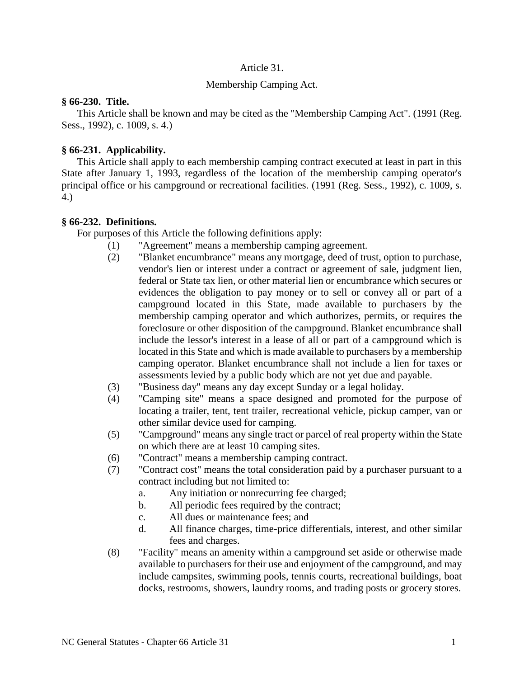### Article 31.

### Membership Camping Act.

#### **§ 66-230. Title.**

This Article shall be known and may be cited as the "Membership Camping Act". (1991 (Reg. Sess., 1992), c. 1009, s. 4.)

### **§ 66-231. Applicability.**

This Article shall apply to each membership camping contract executed at least in part in this State after January 1, 1993, regardless of the location of the membership camping operator's principal office or his campground or recreational facilities. (1991 (Reg. Sess., 1992), c. 1009, s. 4.)

### **§ 66-232. Definitions.**

For purposes of this Article the following definitions apply:

- (1) "Agreement" means a membership camping agreement.
- (2) "Blanket encumbrance" means any mortgage, deed of trust, option to purchase, vendor's lien or interest under a contract or agreement of sale, judgment lien, federal or State tax lien, or other material lien or encumbrance which secures or evidences the obligation to pay money or to sell or convey all or part of a campground located in this State, made available to purchasers by the membership camping operator and which authorizes, permits, or requires the foreclosure or other disposition of the campground. Blanket encumbrance shall include the lessor's interest in a lease of all or part of a campground which is located in this State and which is made available to purchasers by a membership camping operator. Blanket encumbrance shall not include a lien for taxes or assessments levied by a public body which are not yet due and payable.
- (3) "Business day" means any day except Sunday or a legal holiday.
- (4) "Camping site" means a space designed and promoted for the purpose of locating a trailer, tent, tent trailer, recreational vehicle, pickup camper, van or other similar device used for camping.
- (5) "Campground" means any single tract or parcel of real property within the State on which there are at least 10 camping sites.
- (6) "Contract" means a membership camping contract.
- (7) "Contract cost" means the total consideration paid by a purchaser pursuant to a contract including but not limited to:
	- a. Any initiation or nonrecurring fee charged;
	- b. All periodic fees required by the contract;
	- c. All dues or maintenance fees; and
	- d. All finance charges, time-price differentials, interest, and other similar fees and charges.
- (8) "Facility" means an amenity within a campground set aside or otherwise made available to purchasers for their use and enjoyment of the campground, and may include campsites, swimming pools, tennis courts, recreational buildings, boat docks, restrooms, showers, laundry rooms, and trading posts or grocery stores.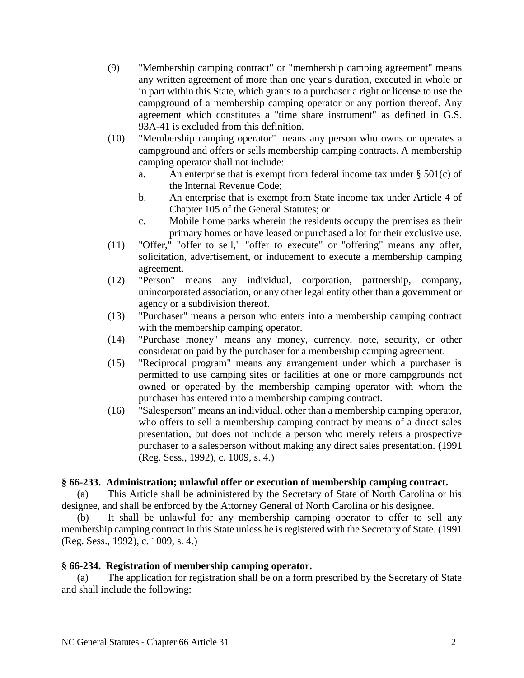- (9) "Membership camping contract" or "membership camping agreement" means any written agreement of more than one year's duration, executed in whole or in part within this State, which grants to a purchaser a right or license to use the campground of a membership camping operator or any portion thereof. Any agreement which constitutes a "time share instrument" as defined in G.S. 93A-41 is excluded from this definition.
- (10) "Membership camping operator" means any person who owns or operates a campground and offers or sells membership camping contracts. A membership camping operator shall not include:
	- a. An enterprise that is exempt from federal income tax under  $\S 501(c)$  of the Internal Revenue Code;
	- b. An enterprise that is exempt from State income tax under Article 4 of Chapter 105 of the General Statutes; or
	- c. Mobile home parks wherein the residents occupy the premises as their primary homes or have leased or purchased a lot for their exclusive use.
- (11) "Offer," "offer to sell," "offer to execute" or "offering" means any offer, solicitation, advertisement, or inducement to execute a membership camping agreement.
- (12) "Person" means any individual, corporation, partnership, company, unincorporated association, or any other legal entity other than a government or agency or a subdivision thereof.
- (13) "Purchaser" means a person who enters into a membership camping contract with the membership camping operator.
- (14) "Purchase money" means any money, currency, note, security, or other consideration paid by the purchaser for a membership camping agreement.
- (15) "Reciprocal program" means any arrangement under which a purchaser is permitted to use camping sites or facilities at one or more campgrounds not owned or operated by the membership camping operator with whom the purchaser has entered into a membership camping contract.
- (16) "Salesperson" means an individual, other than a membership camping operator, who offers to sell a membership camping contract by means of a direct sales presentation, but does not include a person who merely refers a prospective purchaser to a salesperson without making any direct sales presentation. (1991 (Reg. Sess., 1992), c. 1009, s. 4.)

### **§ 66-233. Administration; unlawful offer or execution of membership camping contract.**

(a) This Article shall be administered by the Secretary of State of North Carolina or his designee, and shall be enforced by the Attorney General of North Carolina or his designee.

(b) It shall be unlawful for any membership camping operator to offer to sell any membership camping contract in this State unless he is registered with the Secretary of State. (1991 (Reg. Sess., 1992), c. 1009, s. 4.)

### **§ 66-234. Registration of membership camping operator.**

(a) The application for registration shall be on a form prescribed by the Secretary of State and shall include the following: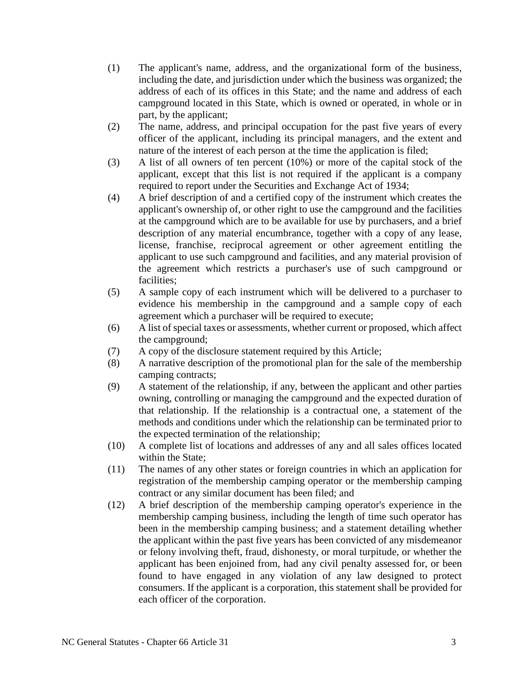- (1) The applicant's name, address, and the organizational form of the business, including the date, and jurisdiction under which the business was organized; the address of each of its offices in this State; and the name and address of each campground located in this State, which is owned or operated, in whole or in part, by the applicant;
- (2) The name, address, and principal occupation for the past five years of every officer of the applicant, including its principal managers, and the extent and nature of the interest of each person at the time the application is filed;
- (3) A list of all owners of ten percent (10%) or more of the capital stock of the applicant, except that this list is not required if the applicant is a company required to report under the Securities and Exchange Act of 1934;
- (4) A brief description of and a certified copy of the instrument which creates the applicant's ownership of, or other right to use the campground and the facilities at the campground which are to be available for use by purchasers, and a brief description of any material encumbrance, together with a copy of any lease, license, franchise, reciprocal agreement or other agreement entitling the applicant to use such campground and facilities, and any material provision of the agreement which restricts a purchaser's use of such campground or facilities;
- (5) A sample copy of each instrument which will be delivered to a purchaser to evidence his membership in the campground and a sample copy of each agreement which a purchaser will be required to execute;
- (6) A list of special taxes or assessments, whether current or proposed, which affect the campground;
- (7) A copy of the disclosure statement required by this Article;
- (8) A narrative description of the promotional plan for the sale of the membership camping contracts;
- (9) A statement of the relationship, if any, between the applicant and other parties owning, controlling or managing the campground and the expected duration of that relationship. If the relationship is a contractual one, a statement of the methods and conditions under which the relationship can be terminated prior to the expected termination of the relationship;
- (10) A complete list of locations and addresses of any and all sales offices located within the State;
- (11) The names of any other states or foreign countries in which an application for registration of the membership camping operator or the membership camping contract or any similar document has been filed; and
- (12) A brief description of the membership camping operator's experience in the membership camping business, including the length of time such operator has been in the membership camping business; and a statement detailing whether the applicant within the past five years has been convicted of any misdemeanor or felony involving theft, fraud, dishonesty, or moral turpitude, or whether the applicant has been enjoined from, had any civil penalty assessed for, or been found to have engaged in any violation of any law designed to protect consumers. If the applicant is a corporation, this statement shall be provided for each officer of the corporation.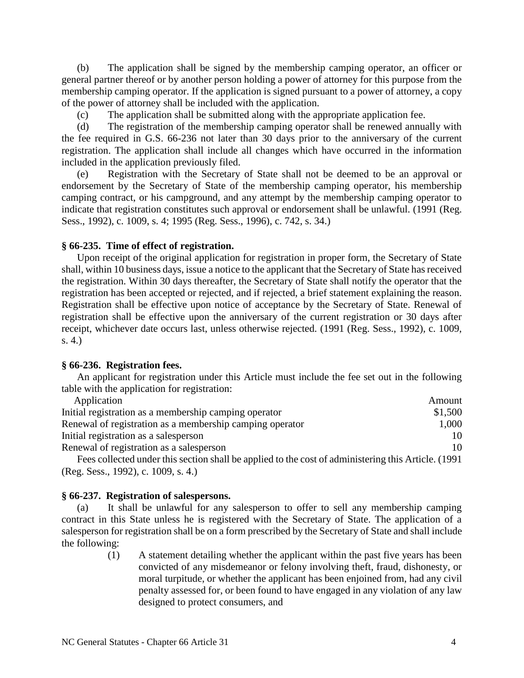(b) The application shall be signed by the membership camping operator, an officer or general partner thereof or by another person holding a power of attorney for this purpose from the membership camping operator. If the application is signed pursuant to a power of attorney, a copy of the power of attorney shall be included with the application.

(c) The application shall be submitted along with the appropriate application fee.

(d) The registration of the membership camping operator shall be renewed annually with the fee required in G.S. 66-236 not later than 30 days prior to the anniversary of the current registration. The application shall include all changes which have occurred in the information included in the application previously filed.

(e) Registration with the Secretary of State shall not be deemed to be an approval or endorsement by the Secretary of State of the membership camping operator, his membership camping contract, or his campground, and any attempt by the membership camping operator to indicate that registration constitutes such approval or endorsement shall be unlawful. (1991 (Reg. Sess., 1992), c. 1009, s. 4; 1995 (Reg. Sess., 1996), c. 742, s. 34.)

## **§ 66-235. Time of effect of registration.**

Upon receipt of the original application for registration in proper form, the Secretary of State shall, within 10 business days, issue a notice to the applicant that the Secretary of State has received the registration. Within 30 days thereafter, the Secretary of State shall notify the operator that the registration has been accepted or rejected, and if rejected, a brief statement explaining the reason. Registration shall be effective upon notice of acceptance by the Secretary of State. Renewal of registration shall be effective upon the anniversary of the current registration or 30 days after receipt, whichever date occurs last, unless otherwise rejected. (1991 (Reg. Sess., 1992), c. 1009, s. 4.)

### **§ 66-236. Registration fees.**

An applicant for registration under this Article must include the fee set out in the following table with the application for registration:

| Application                                                                                                                      | Amount  |
|----------------------------------------------------------------------------------------------------------------------------------|---------|
| Initial registration as a membership camping operator                                                                            | \$1,500 |
| Renewal of registration as a membership camping operator                                                                         | 1,000   |
| Initial registration as a salesperson                                                                                            | 10      |
| Renewal of registration as a salesperson                                                                                         | 10      |
| $\Gamma$ 11 $\pm$ 1 1 $A$ $\pm$ 1 $\pm$ 1 111 $\pm$ 1 $\pm$ 1 $\pm$ 1 $\pm$ 1 $\pm$ 1 $\pm$ 1 $\pm$ 1 $\pm$ 1 $\pm$ 1 $\pm$ 1004 |         |

Fees collected under this section shall be applied to the cost of administering this Article. (1991 (Reg. Sess., 1992), c. 1009, s. 4.)

### **§ 66-237. Registration of salespersons.**

(a) It shall be unlawful for any salesperson to offer to sell any membership camping contract in this State unless he is registered with the Secretary of State. The application of a salesperson for registration shall be on a form prescribed by the Secretary of State and shall include the following:

> (1) A statement detailing whether the applicant within the past five years has been convicted of any misdemeanor or felony involving theft, fraud, dishonesty, or moral turpitude, or whether the applicant has been enjoined from, had any civil penalty assessed for, or been found to have engaged in any violation of any law designed to protect consumers, and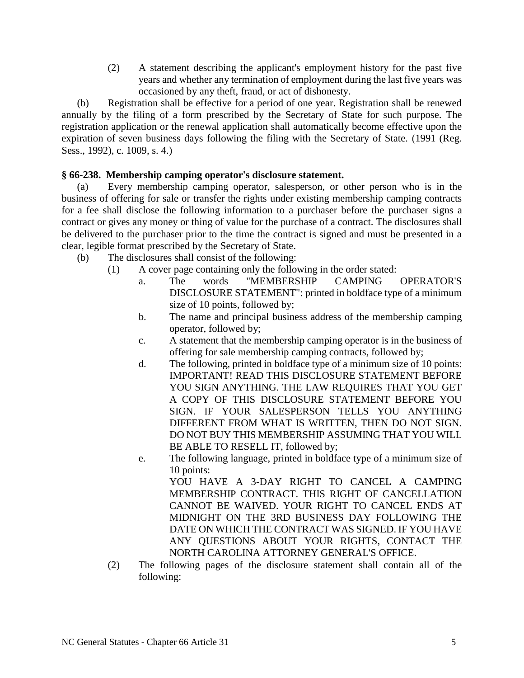(2) A statement describing the applicant's employment history for the past five years and whether any termination of employment during the last five years was occasioned by any theft, fraud, or act of dishonesty.

(b) Registration shall be effective for a period of one year. Registration shall be renewed annually by the filing of a form prescribed by the Secretary of State for such purpose. The registration application or the renewal application shall automatically become effective upon the expiration of seven business days following the filing with the Secretary of State. (1991 (Reg. Sess., 1992), c. 1009, s. 4.)

# **§ 66-238. Membership camping operator's disclosure statement.**

(a) Every membership camping operator, salesperson, or other person who is in the business of offering for sale or transfer the rights under existing membership camping contracts for a fee shall disclose the following information to a purchaser before the purchaser signs a contract or gives any money or thing of value for the purchase of a contract. The disclosures shall be delivered to the purchaser prior to the time the contract is signed and must be presented in a clear, legible format prescribed by the Secretary of State.

- (b) The disclosures shall consist of the following:
	- (1) A cover page containing only the following in the order stated:
		- a. The words "MEMBERSHIP CAMPING OPERATOR'S DISCLOSURE STATEMENT": printed in boldface type of a minimum size of 10 points, followed by;
		- b. The name and principal business address of the membership camping operator, followed by;
		- c. A statement that the membership camping operator is in the business of offering for sale membership camping contracts, followed by;
		- d. The following, printed in boldface type of a minimum size of 10 points: IMPORTANT! READ THIS DISCLOSURE STATEMENT BEFORE YOU SIGN ANYTHING. THE LAW REQUIRES THAT YOU GET A COPY OF THIS DISCLOSURE STATEMENT BEFORE YOU SIGN. IF YOUR SALESPERSON TELLS YOU ANYTHING DIFFERENT FROM WHAT IS WRITTEN, THEN DO NOT SIGN. DO NOT BUY THIS MEMBERSHIP ASSUMING THAT YOU WILL BE ABLE TO RESELL IT, followed by;
		- e. The following language, printed in boldface type of a minimum size of 10 points:

YOU HAVE A 3-DAY RIGHT TO CANCEL A CAMPING MEMBERSHIP CONTRACT. THIS RIGHT OF CANCELLATION CANNOT BE WAIVED. YOUR RIGHT TO CANCEL ENDS AT MIDNIGHT ON THE 3RD BUSINESS DAY FOLLOWING THE DATE ON WHICH THE CONTRACT WAS SIGNED. IF YOU HAVE ANY QUESTIONS ABOUT YOUR RIGHTS, CONTACT THE NORTH CAROLINA ATTORNEY GENERAL'S OFFICE.

(2) The following pages of the disclosure statement shall contain all of the following: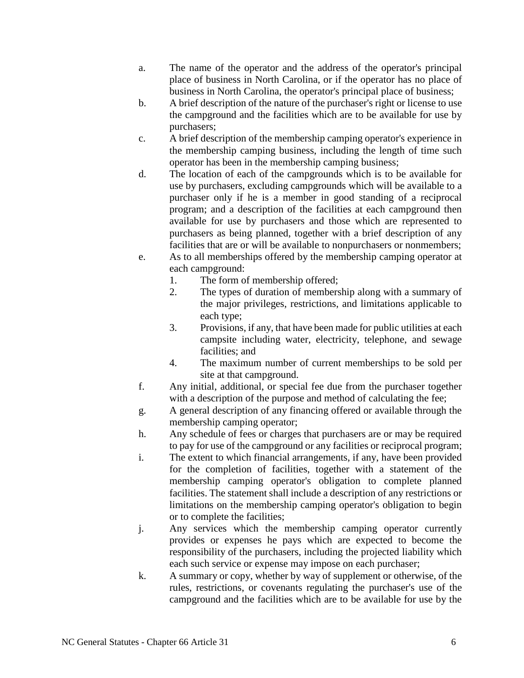- a. The name of the operator and the address of the operator's principal place of business in North Carolina, or if the operator has no place of business in North Carolina, the operator's principal place of business;
- b. A brief description of the nature of the purchaser's right or license to use the campground and the facilities which are to be available for use by purchasers;
- c. A brief description of the membership camping operator's experience in the membership camping business, including the length of time such operator has been in the membership camping business;
- d. The location of each of the campgrounds which is to be available for use by purchasers, excluding campgrounds which will be available to a purchaser only if he is a member in good standing of a reciprocal program; and a description of the facilities at each campground then available for use by purchasers and those which are represented to purchasers as being planned, together with a brief description of any facilities that are or will be available to nonpurchasers or nonmembers;
- e. As to all memberships offered by the membership camping operator at each campground:
	- 1. The form of membership offered;
	- 2. The types of duration of membership along with a summary of the major privileges, restrictions, and limitations applicable to each type;
	- 3. Provisions, if any, that have been made for public utilities at each campsite including water, electricity, telephone, and sewage facilities; and
	- 4. The maximum number of current memberships to be sold per site at that campground.
- f. Any initial, additional, or special fee due from the purchaser together with a description of the purpose and method of calculating the fee;
- g. A general description of any financing offered or available through the membership camping operator;
- h. Any schedule of fees or charges that purchasers are or may be required to pay for use of the campground or any facilities or reciprocal program;
- i. The extent to which financial arrangements, if any, have been provided for the completion of facilities, together with a statement of the membership camping operator's obligation to complete planned facilities. The statement shall include a description of any restrictions or limitations on the membership camping operator's obligation to begin or to complete the facilities;
- j. Any services which the membership camping operator currently provides or expenses he pays which are expected to become the responsibility of the purchasers, including the projected liability which each such service or expense may impose on each purchaser;
- k. A summary or copy, whether by way of supplement or otherwise, of the rules, restrictions, or covenants regulating the purchaser's use of the campground and the facilities which are to be available for use by the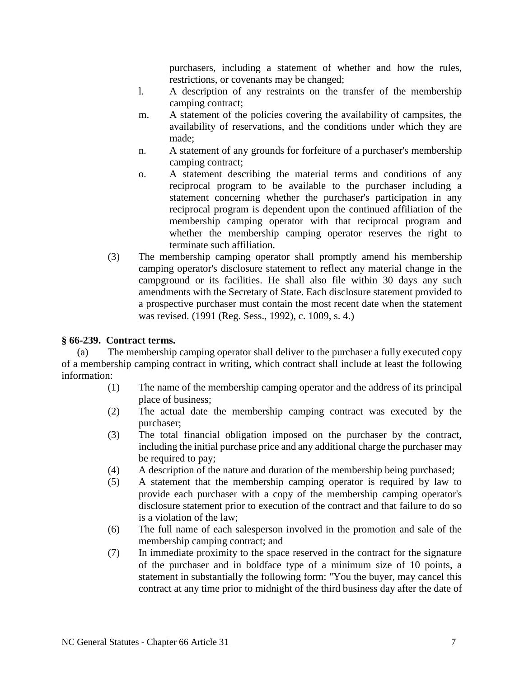purchasers, including a statement of whether and how the rules, restrictions, or covenants may be changed;

- l. A description of any restraints on the transfer of the membership camping contract;
- m. A statement of the policies covering the availability of campsites, the availability of reservations, and the conditions under which they are made;
- n. A statement of any grounds for forfeiture of a purchaser's membership camping contract;
- o. A statement describing the material terms and conditions of any reciprocal program to be available to the purchaser including a statement concerning whether the purchaser's participation in any reciprocal program is dependent upon the continued affiliation of the membership camping operator with that reciprocal program and whether the membership camping operator reserves the right to terminate such affiliation.
- (3) The membership camping operator shall promptly amend his membership camping operator's disclosure statement to reflect any material change in the campground or its facilities. He shall also file within 30 days any such amendments with the Secretary of State. Each disclosure statement provided to a prospective purchaser must contain the most recent date when the statement was revised. (1991 (Reg. Sess., 1992), c. 1009, s. 4.)

### **§ 66-239. Contract terms.**

(a) The membership camping operator shall deliver to the purchaser a fully executed copy of a membership camping contract in writing, which contract shall include at least the following information:

- (1) The name of the membership camping operator and the address of its principal place of business;
- (2) The actual date the membership camping contract was executed by the purchaser;
- (3) The total financial obligation imposed on the purchaser by the contract, including the initial purchase price and any additional charge the purchaser may be required to pay;
- (4) A description of the nature and duration of the membership being purchased;
- (5) A statement that the membership camping operator is required by law to provide each purchaser with a copy of the membership camping operator's disclosure statement prior to execution of the contract and that failure to do so is a violation of the law;
- (6) The full name of each salesperson involved in the promotion and sale of the membership camping contract; and
- (7) In immediate proximity to the space reserved in the contract for the signature of the purchaser and in boldface type of a minimum size of 10 points, a statement in substantially the following form: "You the buyer, may cancel this contract at any time prior to midnight of the third business day after the date of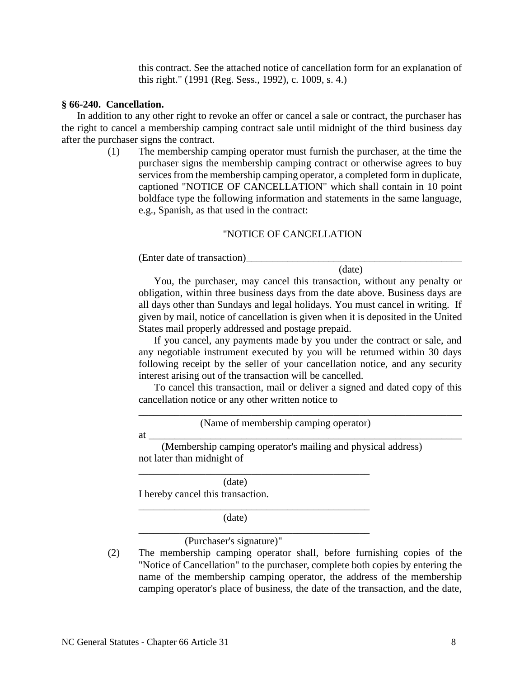this contract. See the attached notice of cancellation form for an explanation of this right." (1991 (Reg. Sess., 1992), c. 1009, s. 4.)

#### **§ 66-240. Cancellation.**

In addition to any other right to revoke an offer or cancel a sale or contract, the purchaser has the right to cancel a membership camping contract sale until midnight of the third business day after the purchaser signs the contract.

> (1) The membership camping operator must furnish the purchaser, at the time the purchaser signs the membership camping contract or otherwise agrees to buy services from the membership camping operator, a completed form in duplicate, captioned "NOTICE OF CANCELLATION" which shall contain in 10 point boldface type the following information and statements in the same language, e.g., Spanish, as that used in the contract:

#### "NOTICE OF CANCELLATION

(Enter date of transaction)\_\_\_\_\_\_\_\_\_\_\_\_\_\_\_\_\_\_\_\_\_\_\_\_\_\_\_\_\_\_\_\_\_\_\_\_\_\_\_\_\_\_

(date)

You, the purchaser, may cancel this transaction, without any penalty or obligation, within three business days from the date above. Business days are all days other than Sundays and legal holidays. You must cancel in writing. If given by mail, notice of cancellation is given when it is deposited in the United States mail properly addressed and postage prepaid.

If you cancel, any payments made by you under the contract or sale, and any negotiable instrument executed by you will be returned within 30 days following receipt by the seller of your cancellation notice, and any security interest arising out of the transaction will be cancelled.

To cancel this transaction, mail or deliver a signed and dated copy of this cancellation notice or any other written notice to

\_\_\_\_\_\_\_\_\_\_\_\_\_\_\_\_\_\_\_\_\_\_\_\_\_\_\_\_\_\_\_\_\_\_\_\_\_\_\_\_\_\_\_\_\_\_\_\_\_\_\_\_\_\_\_\_\_\_\_\_\_\_\_

at \_\_\_\_\_\_\_\_\_\_\_\_\_\_\_\_\_\_\_\_\_\_\_\_\_\_\_\_\_\_\_\_\_\_\_\_\_\_\_\_\_\_\_\_\_\_\_\_\_\_\_\_\_\_\_\_\_\_\_\_\_

(Name of membership camping operator)

(Membership camping operator's mailing and physical address) not later than midnight of

\_\_\_\_\_\_\_\_\_\_\_\_\_\_\_\_\_\_\_\_\_\_\_\_\_\_\_\_\_\_\_\_\_\_\_\_\_\_\_\_\_\_\_\_\_

\_\_\_\_\_\_\_\_\_\_\_\_\_\_\_\_\_\_\_\_\_\_\_\_\_\_\_\_\_\_\_\_\_\_\_\_\_\_\_\_\_\_\_\_\_

\_\_\_\_\_\_\_\_\_\_\_\_\_\_\_\_\_\_\_\_\_\_\_\_\_\_\_\_\_\_\_\_\_\_\_\_\_\_\_\_\_\_\_\_\_

(date) I hereby cancel this transaction.

(date)

(Purchaser's signature)"

(2) The membership camping operator shall, before furnishing copies of the "Notice of Cancellation" to the purchaser, complete both copies by entering the name of the membership camping operator, the address of the membership camping operator's place of business, the date of the transaction, and the date,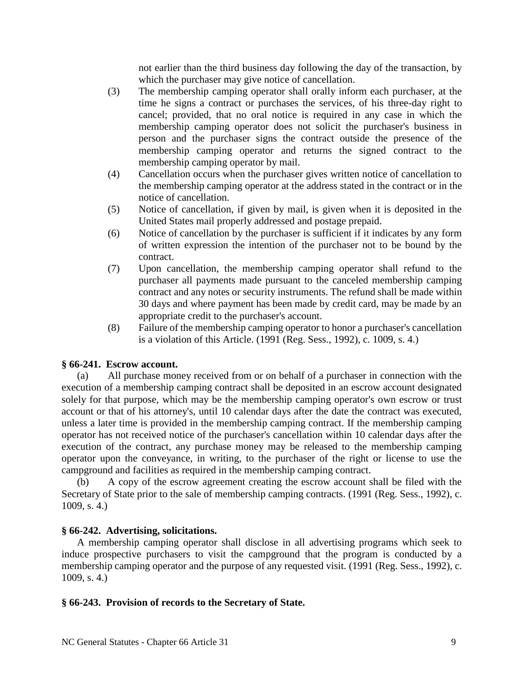not earlier than the third business day following the day of the transaction, by which the purchaser may give notice of cancellation.

- (3) The membership camping operator shall orally inform each purchaser, at the time he signs a contract or purchases the services, of his three-day right to cancel; provided, that no oral notice is required in any case in which the membership camping operator does not solicit the purchaser's business in person and the purchaser signs the contract outside the presence of the membership camping operator and returns the signed contract to the membership camping operator by mail.
- (4) Cancellation occurs when the purchaser gives written notice of cancellation to the membership camping operator at the address stated in the contract or in the notice of cancellation.
- (5) Notice of cancellation, if given by mail, is given when it is deposited in the United States mail properly addressed and postage prepaid.
- (6) Notice of cancellation by the purchaser is sufficient if it indicates by any form of written expression the intention of the purchaser not to be bound by the contract.
- (7) Upon cancellation, the membership camping operator shall refund to the purchaser all payments made pursuant to the canceled membership camping contract and any notes or security instruments. The refund shall be made within 30 days and where payment has been made by credit card, may be made by an appropriate credit to the purchaser's account.
- (8) Failure of the membership camping operator to honor a purchaser's cancellation is a violation of this Article. (1991 (Reg. Sess., 1992), c. 1009, s. 4.)

# **§ 66-241. Escrow account.**

(a) All purchase money received from or on behalf of a purchaser in connection with the execution of a membership camping contract shall be deposited in an escrow account designated solely for that purpose, which may be the membership camping operator's own escrow or trust account or that of his attorney's, until 10 calendar days after the date the contract was executed, unless a later time is provided in the membership camping contract. If the membership camping operator has not received notice of the purchaser's cancellation within 10 calendar days after the execution of the contract, any purchase money may be released to the membership camping operator upon the conveyance, in writing, to the purchaser of the right or license to use the campground and facilities as required in the membership camping contract.

(b) A copy of the escrow agreement creating the escrow account shall be filed with the Secretary of State prior to the sale of membership camping contracts. (1991 (Reg. Sess., 1992), c. 1009, s. 4.)

### **§ 66-242. Advertising, solicitations.**

A membership camping operator shall disclose in all advertising programs which seek to induce prospective purchasers to visit the campground that the program is conducted by a membership camping operator and the purpose of any requested visit. (1991 (Reg. Sess., 1992), c. 1009, s. 4.)

### **§ 66-243. Provision of records to the Secretary of State.**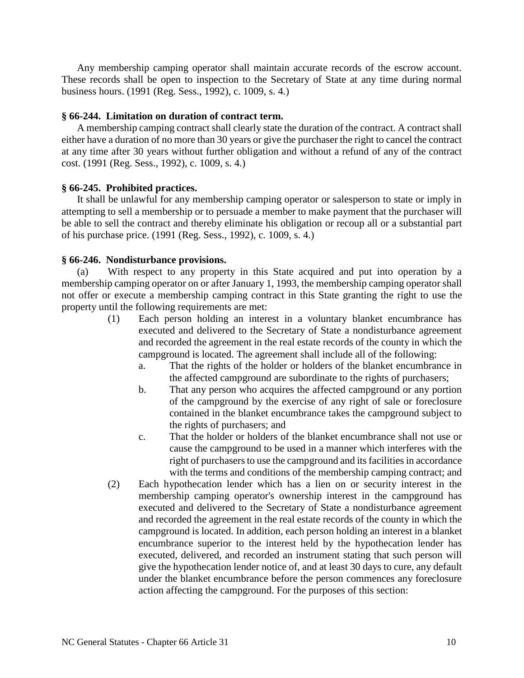Any membership camping operator shall maintain accurate records of the escrow account. These records shall be open to inspection to the Secretary of State at any time during normal business hours. (1991 (Reg. Sess., 1992), c. 1009, s. 4.)

#### **§ 66-244. Limitation on duration of contract term.**

A membership camping contract shall clearly state the duration of the contract. A contract shall either have a duration of no more than 30 years or give the purchaser the right to cancel the contract at any time after 30 years without further obligation and without a refund of any of the contract cost. (1991 (Reg. Sess., 1992), c. 1009, s. 4.)

#### **§ 66-245. Prohibited practices.**

It shall be unlawful for any membership camping operator or salesperson to state or imply in attempting to sell a membership or to persuade a member to make payment that the purchaser will be able to sell the contract and thereby eliminate his obligation or recoup all or a substantial part of his purchase price. (1991 (Reg. Sess., 1992), c. 1009, s. 4.)

#### **§ 66-246. Nondisturbance provisions.**

(a) With respect to any property in this State acquired and put into operation by a membership camping operator on or after January 1, 1993, the membership camping operator shall not offer or execute a membership camping contract in this State granting the right to use the property until the following requirements are met:

- (1) Each person holding an interest in a voluntary blanket encumbrance has executed and delivered to the Secretary of State a nondisturbance agreement and recorded the agreement in the real estate records of the county in which the campground is located. The agreement shall include all of the following:
	- a. That the rights of the holder or holders of the blanket encumbrance in the affected campground are subordinate to the rights of purchasers;
	- b. That any person who acquires the affected campground or any portion of the campground by the exercise of any right of sale or foreclosure contained in the blanket encumbrance takes the campground subject to the rights of purchasers; and
	- c. That the holder or holders of the blanket encumbrance shall not use or cause the campground to be used in a manner which interferes with the right of purchasers to use the campground and its facilities in accordance with the terms and conditions of the membership camping contract; and
- (2) Each hypothecation lender which has a lien on or security interest in the membership camping operator's ownership interest in the campground has executed and delivered to the Secretary of State a nondisturbance agreement and recorded the agreement in the real estate records of the county in which the campground is located. In addition, each person holding an interest in a blanket encumbrance superior to the interest held by the hypothecation lender has executed, delivered, and recorded an instrument stating that such person will give the hypothecation lender notice of, and at least 30 days to cure, any default under the blanket encumbrance before the person commences any foreclosure action affecting the campground. For the purposes of this section: